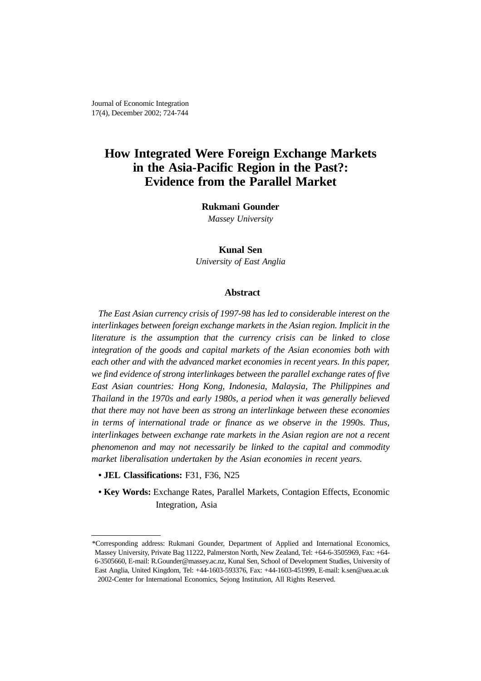Journal of Economic Integration 17(4), December 2002; 724-744

# **How Integrated Were Foreign Exchange Markets in the Asia-Pacific Region in the Past?: Evidence from the Parallel Market**

**Rukmani Gounder**

*Massey University*

**Kunal Sen** *University of East Anglia*

## **Abstract**

*The East Asian currency crisis of 1997-98 has led to considerable interest on the interlinkages between foreign exchange markets in the Asian region. Implicit in the literature is the assumption that the currency crisis can be linked to close integration of the goods and capital markets of the Asian economies both with each other and with the advanced market economies in recent years. In this paper, we find evidence of strong interlinkages between the parallel exchange rates of five East Asian countries: Hong Kong, Indonesia, Malaysia, The Philippines and Thailand in the 1970s and early 1980s, a period when it was generally believed that there may not have been as strong an interlinkage between these economies in terms of international trade or finance as we observe in the 1990s. Thus, interlinkages between exchange rate markets in the Asian region are not a recent phenomenon and may not necessarily be linked to the capital and commodity market liberalisation undertaken by the Asian economies in recent years.* 

- **JEL Classifications:** F31, F36, N25
- **Key Words:** Exchange Rates, Parallel Markets, Contagion Effects, Economic Integration, Asia

<sup>\*</sup>Corresponding address: Rukmani Gounder, Department of Applied and International Economics, Massey University, Private Bag 11222, Palmerston North, New Zealand, Tel: +64-6-3505969, Fax: +64- 6-3505660, E-mail: R.Gounder@massey.ac.nz, Kunal Sen, School of Development Studies, University of East Anglia, United Kingdom, Tel: +44-1603-593376, Fax: +44-1603-451999, E-mail: k.sen@uea.ac.uk 2002-Center for International Economics, Sejong Institution, All Rights Reserved.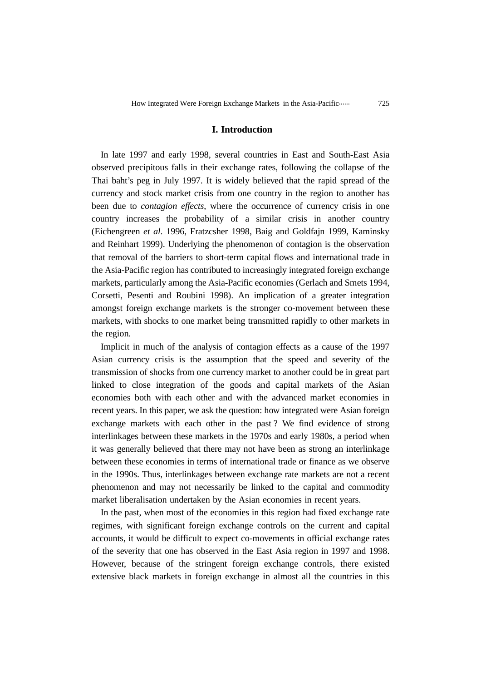## **I. Introduction**

In late 1997 and early 1998, several countries in East and South-East Asia observed precipitous falls in their exchange rates, following the collapse of the Thai baht's peg in July 1997. It is widely believed that the rapid spread of the currency and stock market crisis from one country in the region to another has been due to *contagion effects*, where the occurrence of currency crisis in one country increases the probability of a similar crisis in another country (Eichengreen *et al*. 1996, Fratzcsher 1998, Baig and Goldfajn 1999, Kaminsky and Reinhart 1999). Underlying the phenomenon of contagion is the observation that removal of the barriers to short-term capital flows and international trade in the Asia-Pacific region has contributed to increasingly integrated foreign exchange markets, particularly among the Asia-Pacific economies (Gerlach and Smets 1994, Corsetti, Pesenti and Roubini 1998). An implication of a greater integration amongst foreign exchange markets is the stronger co-movement between these markets, with shocks to one market being transmitted rapidly to other markets in the region.

Implicit in much of the analysis of contagion effects as a cause of the 1997 Asian currency crisis is the assumption that the speed and severity of the transmission of shocks from one currency market to another could be in great part linked to close integration of the goods and capital markets of the Asian economies both with each other and with the advanced market economies in recent years. In this paper, we ask the question: how integrated were Asian foreign exchange markets with each other in the past ? We find evidence of strong interlinkages between these markets in the 1970s and early 1980s, a period when it was generally believed that there may not have been as strong an interlinkage between these economies in terms of international trade or finance as we observe in the 1990s. Thus, interlinkages between exchange rate markets are not a recent phenomenon and may not necessarily be linked to the capital and commodity market liberalisation undertaken by the Asian economies in recent years.

In the past, when most of the economies in this region had fixed exchange rate regimes, with significant foreign exchange controls on the current and capital accounts, it would be difficult to expect co-movements in official exchange rates of the severity that one has observed in the East Asia region in 1997 and 1998. However, because of the stringent foreign exchange controls, there existed extensive black markets in foreign exchange in almost all the countries in this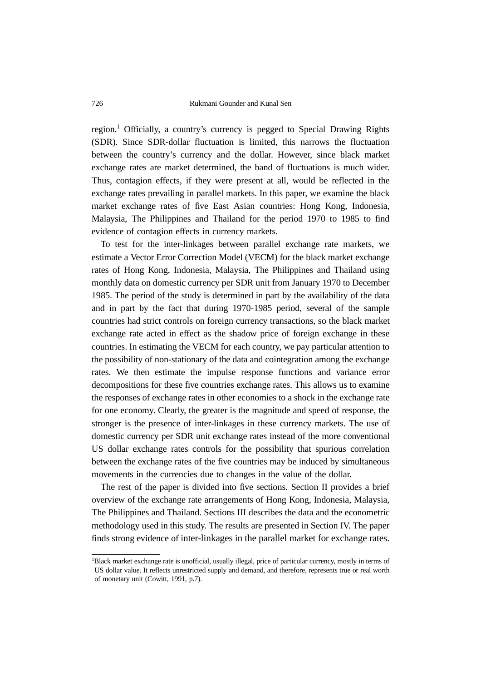region.<sup>1</sup> Officially, a country's currency is pegged to Special Drawing Rights (SDR). Since SDR-dollar fluctuation is limited, this narrows the fluctuation between the country's currency and the dollar. However, since black market exchange rates are market determined, the band of fluctuations is much wider. Thus, contagion effects, if they were present at all, would be reflected in the exchange rates prevailing in parallel markets. In this paper, we examine the black market exchange rates of five East Asian countries: Hong Kong, Indonesia, Malaysia, The Philippines and Thailand for the period 1970 to 1985 to find evidence of contagion effects in currency markets.

To test for the inter-linkages between parallel exchange rate markets, we estimate a Vector Error Correction Model (VECM) for the black market exchange rates of Hong Kong, Indonesia, Malaysia, The Philippines and Thailand using monthly data on domestic currency per SDR unit from January 1970 to December 1985. The period of the study is determined in part by the availability of the data and in part by the fact that during 1970-1985 period, several of the sample countries had strict controls on foreign currency transactions, so the black market exchange rate acted in effect as the shadow price of foreign exchange in these countries. In estimating the VECM for each country, we pay particular attention to the possibility of non-stationary of the data and cointegration among the exchange rates. We then estimate the impulse response functions and variance error decompositions for these five countries exchange rates. This allows us to examine the responses of exchange rates in other economies to a shock in the exchange rate for one economy. Clearly, the greater is the magnitude and speed of response, the stronger is the presence of inter-linkages in these currency markets. The use of domestic currency per SDR unit exchange rates instead of the more conventional US dollar exchange rates controls for the possibility that spurious correlation between the exchange rates of the five countries may be induced by simultaneous movements in the currencies due to changes in the value of the dollar.

The rest of the paper is divided into five sections. Section II provides a brief overview of the exchange rate arrangements of Hong Kong, Indonesia, Malaysia, The Philippines and Thailand. Sections III describes the data and the econometric methodology used in this study. The results are presented in Section IV. The paper finds strong evidence of inter-linkages in the parallel market for exchange rates.

<sup>&</sup>lt;sup>1</sup>Black market exchange rate is unofficial, usually illegal, price of particular currency, mostly in terms of US dollar value. It reflects unrestricted supply and demand, and therefore, represents true or real worth of monetary unit (Cowitt, 1991, p.7).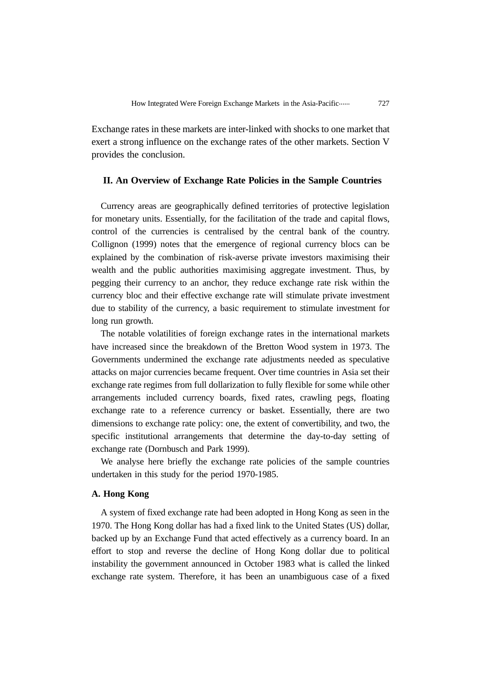Exchange rates in these markets are inter-linked with shocks to one market that exert a strong influence on the exchange rates of the other markets. Section V provides the conclusion.

# **II. An Overview of Exchange Rate Policies in the Sample Countries**

Currency areas are geographically defined territories of protective legislation for monetary units. Essentially, for the facilitation of the trade and capital flows, control of the currencies is centralised by the central bank of the country. Collignon (1999) notes that the emergence of regional currency blocs can be explained by the combination of risk-averse private investors maximising their wealth and the public authorities maximising aggregate investment. Thus, by pegging their currency to an anchor, they reduce exchange rate risk within the currency bloc and their effective exchange rate will stimulate private investment due to stability of the currency, a basic requirement to stimulate investment for long run growth.

The notable volatilities of foreign exchange rates in the international markets have increased since the breakdown of the Bretton Wood system in 1973. The Governments undermined the exchange rate adjustments needed as speculative attacks on major currencies became frequent. Over time countries in Asia set their exchange rate regimes from full dollarization to fully flexible for some while other arrangements included currency boards, fixed rates, crawling pegs, floating exchange rate to a reference currency or basket. Essentially, there are two dimensions to exchange rate policy: one, the extent of convertibility, and two, the specific institutional arrangements that determine the day-to-day setting of exchange rate (Dornbusch and Park 1999).

We analyse here briefly the exchange rate policies of the sample countries undertaken in this study for the period 1970-1985.

# **A. Hong Kong**

A system of fixed exchange rate had been adopted in Hong Kong as seen in the 1970. The Hong Kong dollar has had a fixed link to the United States (US) dollar, backed up by an Exchange Fund that acted effectively as a currency board. In an effort to stop and reverse the decline of Hong Kong dollar due to political instability the government announced in October 1983 what is called the linked exchange rate system. Therefore, it has been an unambiguous case of a fixed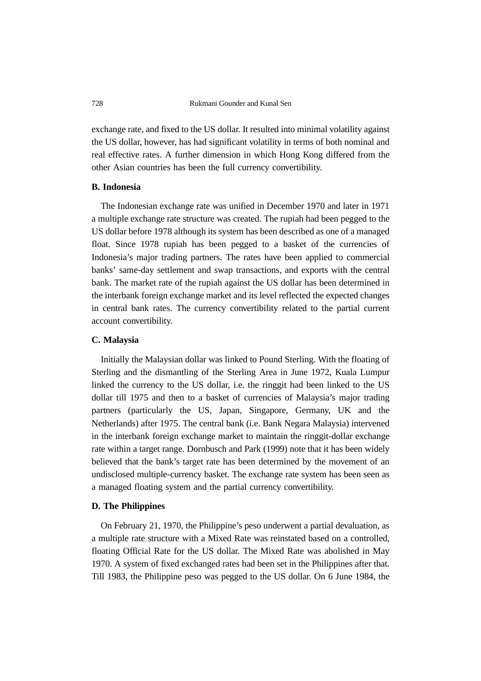exchange rate, and fixed to the US dollar. It resulted into minimal volatility against the US dollar, however, has had significant volatility in terms of both nominal and real effective rates. A further dimension in which Hong Kong differed from the other Asian countries has been the full currency convertibility.

# **B. Indonesia**

The Indonesian exchange rate was unified in December 1970 and later in 1971 a multiple exchange rate structure was created. The rupiah had been pegged to the US dollar before 1978 although its system has been described as one of a managed float. Since 1978 rupiah has been pegged to a basket of the currencies of Indonesia's major trading partners. The rates have been applied to commercial banks' same-day settlement and swap transactions, and exports with the central bank. The market rate of the rupiah against the US dollar has been determined in the interbank foreign exchange market and its level reflected the expected changes in central bank rates. The currency convertibility related to the partial current account convertibility.

## **C. Malaysia**

Initially the Malaysian dollar was linked to Pound Sterling. With the floating of Sterling and the dismantling of the Sterling Area in June 1972, Kuala Lumpur linked the currency to the US dollar, i.e. the ringgit had been linked to the US dollar till 1975 and then to a basket of currencies of Malaysia's major trading partners (particularly the US, Japan, Singapore, Germany, UK and the Netherlands) after 1975. The central bank (i.e. Bank Negara Malaysia) intervened in the interbank foreign exchange market to maintain the ringgit-dollar exchange rate within a target range. Dornbusch and Park (1999) note that it has been widely believed that the bank's target rate has been determined by the movement of an undisclosed multiple-currency basket. The exchange rate system has been seen as a managed floating system and the partial currency convertibility.

## **D. The Philippines**

On February 21, 1970, the Philippine's peso underwent a partial devaluation, as a multiple rate structure with a Mixed Rate was reinstated based on a controlled, floating Official Rate for the US dollar. The Mixed Rate was abolished in May 1970. A system of fixed exchanged rates had been set in the Philippines after that. Till 1983, the Philippine peso was pegged to the US dollar. On 6 June 1984, the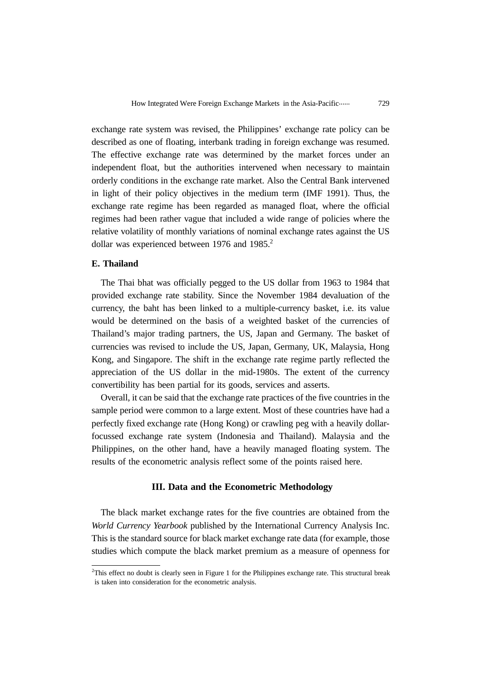exchange rate system was revised, the Philippines' exchange rate policy can be described as one of floating, interbank trading in foreign exchange was resumed. The effective exchange rate was determined by the market forces under an independent float, but the authorities intervened when necessary to maintain orderly conditions in the exchange rate market. Also the Central Bank intervened in light of their policy objectives in the medium term (IMF 1991). Thus, the exchange rate regime has been regarded as managed float, where the official regimes had been rather vague that included a wide range of policies where the relative volatility of monthly variations of nominal exchange rates against the US dollar was experienced between 1976 and 1985.<sup>2</sup>

# **E. Thailand**

The Thai bhat was officially pegged to the US dollar from 1963 to 1984 that provided exchange rate stability. Since the November 1984 devaluation of the currency, the baht has been linked to a multiple-currency basket, i.e. its value would be determined on the basis of a weighted basket of the currencies of Thailand's major trading partners, the US, Japan and Germany. The basket of currencies was revised to include the US, Japan, Germany, UK, Malaysia, Hong Kong, and Singapore. The shift in the exchange rate regime partly reflected the appreciation of the US dollar in the mid-1980s. The extent of the currency convertibility has been partial for its goods, services and asserts.

Overall, it can be said that the exchange rate practices of the five countries in the sample period were common to a large extent. Most of these countries have had a perfectly fixed exchange rate (Hong Kong) or crawling peg with a heavily dollarfocussed exchange rate system (Indonesia and Thailand). Malaysia and the Philippines, on the other hand, have a heavily managed floating system. The results of the econometric analysis reflect some of the points raised here.

# **III. Data and the Econometric Methodology**

The black market exchange rates for the five countries are obtained from the *World Currency Yearbook* published by the International Currency Analysis Inc. This is the standard source for black market exchange rate data (for example, those studies which compute the black market premium as a measure of openness for

<sup>&</sup>lt;sup>2</sup>This effect no doubt is clearly seen in Figure 1 for the Philippines exchange rate. This structural break is taken into consideration for the econometric analysis.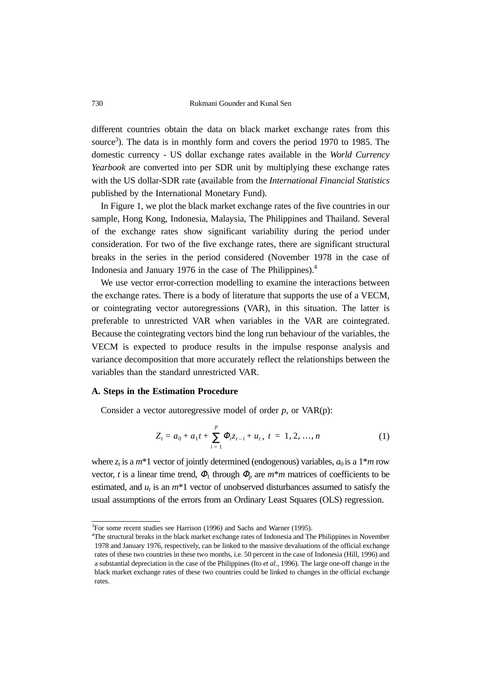different countries obtain the data on black market exchange rates from this source<sup>3</sup>). The data is in monthly form and covers the period 1970 to 1985. The domestic currency - US dollar exchange rates available in the *World Currency Yearbook* are converted into per SDR unit by multiplying these exchange rates with the US dollar-SDR rate (available from the *International Financial Statistics* published by the International Monetary Fund).

In Figure 1, we plot the black market exchange rates of the five countries in our sample, Hong Kong, Indonesia, Malaysia, The Philippines and Thailand. Several of the exchange rates show significant variability during the period under consideration. For two of the five exchange rates, there are significant structural breaks in the series in the period considered (November 1978 in the case of Indonesia and January 1976 in the case of The Philippines).4

We use vector error-correction modelling to examine the interactions between the exchange rates. There is a body of literature that supports the use of a VECM, or cointegrating vector autoregressions (VAR), in this situation. The latter is preferable to unrestricted VAR when variables in the VAR are cointegrated. Because the cointegrating vectors bind the long run behaviour of the variables, the VECM is expected to produce results in the impulse response analysis and variance decomposition that more accurately reflect the relationships between the variables than the standard unrestricted VAR.

#### **A. Steps in the Estimation Procedure**

Consider a vector autoregressive model of order *p*, or VAR(p):

$$
Z_{t} = a_{0} + a_{1}t + \sum_{i=1}^{p} \Phi_{i} z_{t-i} + u_{t}, \ t = 1, 2, ..., n
$$
 (1)

where  $z_t$  is a  $m^*1$  vector of jointly determined (endogenous) variables,  $a_0$  is a  $1^*m$  row vector, *t* is a linear time trend,  $\Phi_1$  through  $\Phi_p$  are  $m^*m$  matrices of coefficients to be estimated, and  $u_t$  is an  $m*1$  vector of unobserved disturbances assumed to satisfy the usual assumptions of the errors from an Ordinary Least Squares (OLS) regression.

<sup>&</sup>lt;sup>3</sup>For some recent studies see Harrison (1996) and Sachs and Warner (1995).

<sup>4</sup> The structural breaks in the black market exchange rates of Indonesia and The Philippines in November 1978 and January 1976, respectively, can be linked to the massive devaluations of the official exchange rates of these two countries in these two months, i.e. 50 percent in the case of Indonesia (Hill, 1996) and a substantial depreciation in the case of the Philippines (Ito *et al*., 1996). The large one-off change in the black market exchange rates of these two countries could be linked to changes in the official exchange rates.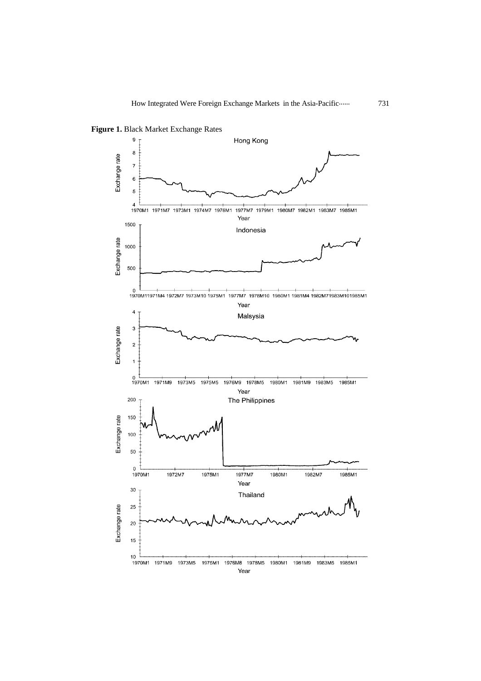

**Figure 1.** Black Market Exchange Rates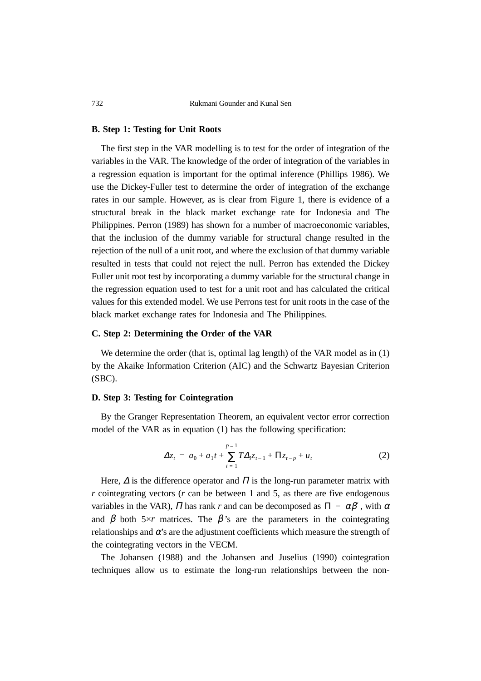#### **B. Step 1: Testing for Unit Roots**

The first step in the VAR modelling is to test for the order of integration of the variables in the VAR. The knowledge of the order of integration of the variables in a regression equation is important for the optimal inference (Phillips 1986). We use the Dickey-Fuller test to determine the order of integration of the exchange rates in our sample. However, as is clear from Figure 1, there is evidence of a structural break in the black market exchange rate for Indonesia and The Philippines. Perron (1989) has shown for a number of macroeconomic variables, that the inclusion of the dummy variable for structural change resulted in the rejection of the null of a unit root, and where the exclusion of that dummy variable resulted in tests that could not reject the null. Perron has extended the Dickey Fuller unit root test by incorporating a dummy variable for the structural change in the regression equation used to test for a unit root and has calculated the critical values for this extended model. We use Perrons test for unit roots in the case of the black market exchange rates for Indonesia and The Philippines.

# **C. Step 2: Determining the Order of the VAR**

We determine the order (that is, optimal lag length) of the VAR model as in (1) by the Akaike Information Criterion (AIC) and the Schwartz Bayesian Criterion (SBC).

## **D. Step 3: Testing for Cointegration**

By the Granger Representation Theorem, an equivalent vector error correction model of the VAR as in equation (1) has the following specification:

$$
\Delta z_t = a_0 + a_1 t + \sum_{i=1}^{p-1} T \Delta_i z_{t-1} + \Pi z_{t-p} + u_t
$$
 (2)

Here,  $\Delta$  is the difference operator and  $\Pi$  is the long-run parameter matrix with *r* cointegrating vectors (*r* can be between 1 and 5, as there are five endogenous variables in the VAR),  $\Pi$  has rank  $r$  and can be decomposed as  $\Pi = \alpha \beta'$ , with  $\alpha$ and  $\beta$  both 5×*r* matrices. The  $\beta$ 's are the parameters in the cointegrating relationships and  $\alpha$ 's are the adjustment coefficients which measure the strength of the cointegrating vectors in the VECM.

The Johansen (1988) and the Johansen and Juselius (1990) cointegration techniques allow us to estimate the long-run relationships between the non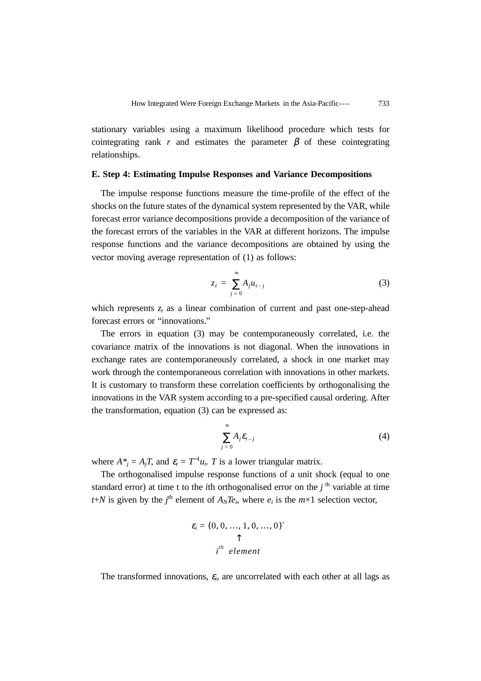stationary variables using a maximum likelihood procedure which tests for cointegrating rank *r* and estimates the parameter  $\beta$  of these cointegrating relationships.

## **E. Step 4: Estimating Impulse Responses and Variance Decompositions**

The impulse response functions measure the time-profile of the effect of the shocks on the future states of the dynamical system represented by the VAR, while forecast error variance decompositions provide a decomposition of the variance of the forecast errors of the variables in the VAR at different horizons. The impulse response functions and the variance decompositions are obtained by using the vector moving average representation of (1) as follows:

$$
z_t = \sum_{j=0}^{\infty} A_j u_{t-j} \tag{3}
$$

which represents  $z_t$  as a linear combination of current and past one-step-ahead forecast errors or "innovations."

The errors in equation (3) may be contemporaneously correlated, i.e. the covariance matrix of the innovations is not diagonal. When the innovations in exchange rates are contemporaneously correlated, a shock in one market may work through the contemporaneous correlation with innovations in other markets. It is customary to transform these correlation coefficients by orthogonalising the innovations in the VAR system according to a pre-specified causal ordering. After the transformation, equation (3) can be expressed as:

$$
\sum_{j=0}^{\infty} A_j \varepsilon_{t-j} \tag{4}
$$

where  $A^*_{j} = A_j T$ , and  $\varepsilon_t = T^{-1} u_t$ . *T* is a lower triangular matrix.

The orthogonalised impulse response functions of a unit shock (equal to one standard error) at time t to the *i*th orthogonalised error on the  $i<sup>th</sup>$  variable at time *t*+*N* is given by the *j*<sup>th</sup> element of  $A_N T e_i$ , where  $e_i$  is the  $m \times 1$  selection vector,

$$
\varepsilon_i = (0, 0, ..., 1, 0, ..., 0)'
$$
  
\n
$$
\uparrow
$$
  
\n
$$
i^{th} element
$$

The transformed innovations,  $\varepsilon$ <sub>*t*</sub>, are uncorrelated with each other at all lags as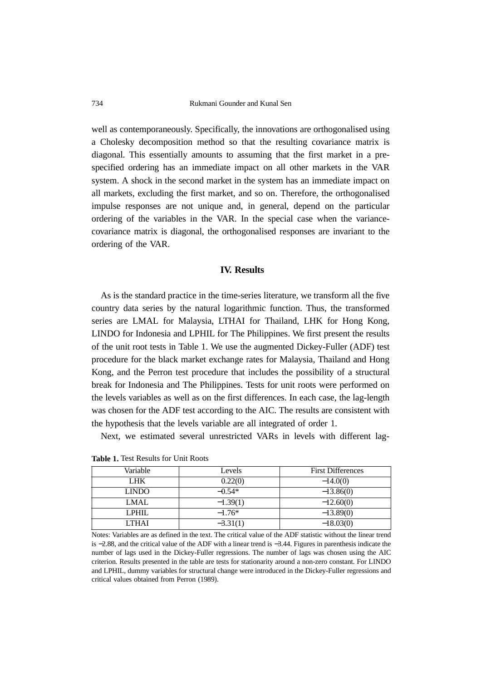734 Rukmani Gounder and Kunal Sen

well as contemporaneously. Specifically, the innovations are orthogonalised using a Cholesky decomposition method so that the resulting covariance matrix is diagonal. This essentially amounts to assuming that the first market in a prespecified ordering has an immediate impact on all other markets in the VAR system. A shock in the second market in the system has an immediate impact on all markets, excluding the first market, and so on. Therefore, the orthogonalised impulse responses are not unique and, in general, depend on the particular ordering of the variables in the VAR. In the special case when the variancecovariance matrix is diagonal, the orthogonalised responses are invariant to the ordering of the VAR.

## **IV. Results**

As is the standard practice in the time-series literature, we transform all the five country data series by the natural logarithmic function. Thus, the transformed series are LMAL for Malaysia, LTHAI for Thailand, LHK for Hong Kong, LINDO for Indonesia and LPHIL for The Philippines. We first present the results of the unit root tests in Table 1. We use the augmented Dickey-Fuller (ADF) test procedure for the black market exchange rates for Malaysia, Thailand and Hong Kong, and the Perron test procedure that includes the possibility of a structural break for Indonesia and The Philippines. Tests for unit roots were performed on the levels variables as well as on the first differences. In each case, the lag-length was chosen for the ADF test according to the AIC. The results are consistent with the hypothesis that the levels variable are all integrated of order 1.

Next, we estimated several unrestricted VARs in levels with different lag-

| Variable     | Levels     | <b>First Differences</b> |
|--------------|------------|--------------------------|
| LHK.         | 0.22(0)    | $-14.0(0)$               |
| <b>LINDO</b> | $-0.54*$   | $-13.86(0)$              |
| <b>LMAL</b>  | $-1.39(1)$ | $-12.60(0)$              |
| <b>LPHIL</b> | $-1.76*$   | $-13.89(0)$              |
| <b>LTHAI</b> | $-3.31(1)$ | $-18.03(0)$              |

**Table 1.** Test Results for Unit Roots

Notes: Variables are as defined in the text. The critical value of the ADF statistic without the linear trend is −2.88, and the critical value of the ADF with a linear trend is −3.44. Figures in parenthesis indicate the number of lags used in the Dickey-Fuller regressions. The number of lags was chosen using the AIC criterion. Results presented in the table are tests for stationarity around a non-zero constant. For LINDO and LPHIL, dummy variables for structural change were introduced in the Dickey-Fuller regressions and critical values obtained from Perron (1989).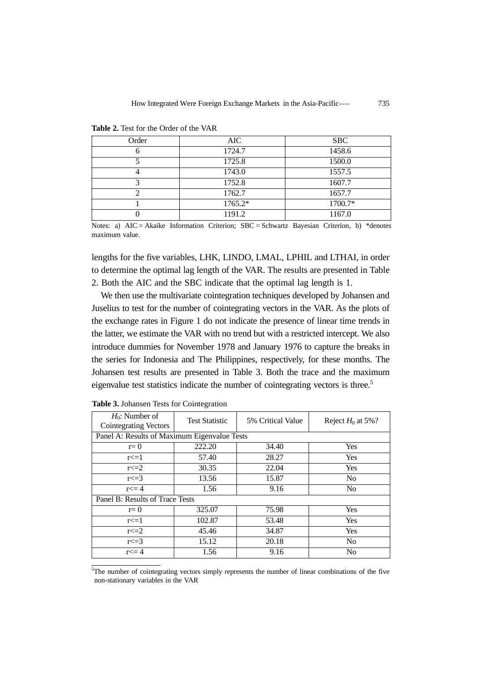| Order | AIC.    | <b>SBC</b> |
|-------|---------|------------|
|       | 1724.7  | 1458.6     |
|       | 1725.8  | 1500.0     |
|       | 1743.0  | 1557.5     |
|       | 1752.8  | 1607.7     |
|       | 1762.7  | 1657.7     |
|       | 1765.2* | 1700.7*    |
|       | 1191.2  | 1167.0     |

**Table 2.** Test for the Order of the VAR

Notes: a)  $AIC = Akaike Information Criterion$ ;  $SBC = Schwartz Bayesian Criterion$ , b) \*denotes maximum value.

lengths for the five variables, LHK, LINDO, LMAL, LPHIL and LTHAI, in order to determine the optimal lag length of the VAR. The results are presented in Table 2. Both the AIC and the SBC indicate that the optimal lag length is 1.

We then use the multivariate cointegration techniques developed by Johansen and Juselius to test for the number of cointegrating vectors in the VAR. As the plots of the exchange rates in Figure 1 do not indicate the presence of linear time trends in the latter, we estimate the VAR with no trend but with a restricted intercept. We also introduce dummies for November 1978 and January 1976 to capture the breaks in the series for Indonesia and The Philippines, respectively, for these months. The Johansen test results are presented in Table 3. Both the trace and the maximum eigenvalue test statistics indicate the number of cointegrating vectors is three.<sup>5</sup>

| $H_0$ : Number of<br><b>Cointegrating Vectors</b> | <b>Test Statistic</b> | 5% Critical Value | Reject $H_0$ at 5%? |  |  |  |  |
|---------------------------------------------------|-----------------------|-------------------|---------------------|--|--|--|--|
| Panel A: Results of Maximum Eigenvalue Tests      |                       |                   |                     |  |  |  |  |
| $r=0$                                             | 222.20                | 34.40             | Yes                 |  |  |  |  |
| $r \leq 1$                                        | 57.40                 | 28.27             | Yes                 |  |  |  |  |
| $r \leq 2$                                        | 30.35                 | 22.04             | Yes                 |  |  |  |  |
| $r \leq 3$                                        | 13.56                 | 15.87             | N <sub>0</sub>      |  |  |  |  |
| $r \leq 4$                                        | 1.56                  | 9.16              | No                  |  |  |  |  |
| Panel B: Results of Trace Tests                   |                       |                   |                     |  |  |  |  |
| $r=0$                                             | 325.07                | 75.98             | Yes                 |  |  |  |  |
| $r \leq 1$                                        | 102.87                | 53.48             | Yes                 |  |  |  |  |
| $r \leq 2$                                        | 45.46                 | 34.87             | Yes                 |  |  |  |  |
| $r \leq 3$                                        | 15.12                 | 20.18             | N <sub>o</sub>      |  |  |  |  |
| $r \leq 4$                                        | 1.56                  | 9.16              | N <sub>0</sub>      |  |  |  |  |

**Table 3.** Johansen Tests for Cointegration

<sup>5</sup>The number of cointegrating vectors simply represents the number of linear combinations of the five non-stationary variables in the VAR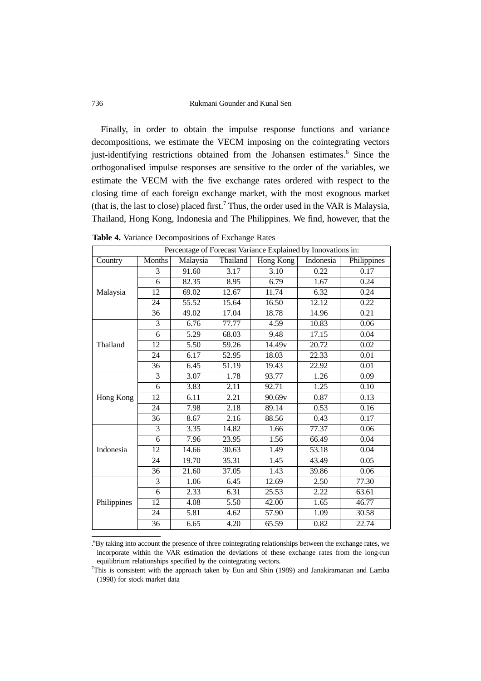#### 736 Rukmani Gounder and Kunal Sen

Finally, in order to obtain the impulse response functions and variance decompositions, we estimate the VECM imposing on the cointegrating vectors just-identifying restrictions obtained from the Johansen estimates.<sup>6</sup> Since the orthogonalised impulse responses are sensitive to the order of the variables, we estimate the VECM with the five exchange rates ordered with respect to the closing time of each foreign exchange market, with the most exognous market (that is, the last to close) placed first.<sup>7</sup> Thus, the order used in the VAR is Malaysia, Thailand, Hong Kong, Indonesia and The Philippines. We find, however, that the

| Percentage of Forecast Variance Explained by Innovations in: |                 |          |                    |                     |           |                   |  |
|--------------------------------------------------------------|-----------------|----------|--------------------|---------------------|-----------|-------------------|--|
| Country                                                      | <b>Months</b>   | Malaysia | <b>Thailand</b>    | <b>Hong Kong</b>    | Indonesia | Philippines       |  |
| Malaysia                                                     | 3               | 91.60    | 3.17               | 3.10                | 0.22      | 0.17              |  |
|                                                              | 6               | 82.35    | 8.95               | 6.79                | 1.67      | 0.24              |  |
|                                                              | 12              | 69.02    | $\overline{12.67}$ | 11.74               | 6.32      | 0.24              |  |
|                                                              | 24              | 55.52    | 15.64              | 16.50               | 12.12     | 0.22              |  |
|                                                              | 36              | 49.02    | 17.04              | 18.78               | 14.96     | 0.21              |  |
|                                                              | 3               | 6.76     | 77.77              | 4.59                | 10.83     | 0.06              |  |
|                                                              | 6               | 5.29     | 68.03              | 9.48                | 17.15     | 0.04              |  |
| Thailand                                                     | 12              | 5.50     | 59.26              | $\overline{14.49v}$ | 20.72     | 0.02              |  |
|                                                              | 24              | 6.17     | 52.95              | 18.03               | 22.33     | $\overline{0.01}$ |  |
|                                                              | 36              | 6.45     | 51.19              | 19.43               | 22.92     | $\overline{0.01}$ |  |
|                                                              | 3               | 3.07     | 1.78               | 93.77               | 1.26      | 0.09              |  |
| Hong Kong                                                    | 6               | 3.83     | 2.11               | 92.71               | 1.25      | 0.10              |  |
|                                                              | $\overline{12}$ | 6.11     | 2.21               | 90.69v              | 0.87      | 0.13              |  |
|                                                              | 24              | 7.98     | 2.18               | 89.14               | 0.53      | 0.16              |  |
|                                                              | 36              | 8.67     | 2.16               | 88.56               | 0.43      | 0.17              |  |
| Indonesia                                                    | $\overline{3}$  | 3.35     | 14.82              | 1.66                | 77.37     | 0.06              |  |
|                                                              | $\overline{6}$  | 7.96     | 23.95              | 1.56                | 66.49     | 0.04              |  |
|                                                              | 12              | 14.66    | 30.63              | 1.49                | 53.18     | 0.04              |  |
|                                                              | 24              | 19.70    | 35.31              | 1.45                | 43.49     | 0.05              |  |
|                                                              | 36              | 21.60    | 37.05              | 1.43                | 39.86     | 0.06              |  |
| Philippines                                                  | 3               | 1.06     | 6.45               | 12.69               | 2.50      | 77.30             |  |
|                                                              | 6               | 2.33     | 6.31               | 25.53               | 2.22      | 63.61             |  |
|                                                              | 12              | 4.08     | 5.50               | 42.00               | 1.65      | 46.77             |  |
|                                                              | 24              | 5.81     | 4.62               | 57.90               | 1.09      | 30.58             |  |
|                                                              | 36              | 6.65     | 4.20               | 65.59               | 0.82      | 22.74             |  |

**Table 4.** Variance Decompositions of Exchange Rates

. 6 By taking into account the presence of three cointegrating relationships between the exchange rates, we incorporate within the VAR estimation the deviations of these exchange rates from the long-run equilibrium relationships specified by the cointegrating vectors.

7 This is consistent with the approach taken by Eun and Shin (1989) and Janakiramanan and Lamba (1998) for stock market data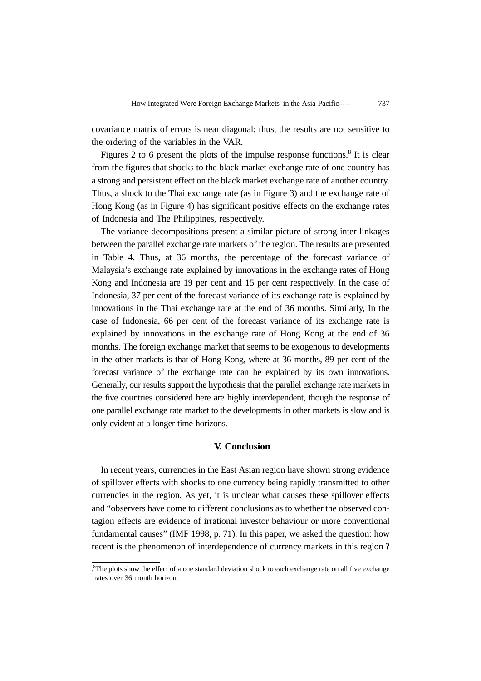covariance matrix of errors is near diagonal; thus, the results are not sensitive to the ordering of the variables in the VAR.

Figures 2 to 6 present the plots of the impulse response functions.<sup>8</sup> It is clear from the figures that shocks to the black market exchange rate of one country has a strong and persistent effect on the black market exchange rate of another country. Thus, a shock to the Thai exchange rate (as in Figure 3) and the exchange rate of Hong Kong (as in Figure 4) has significant positive effects on the exchange rates of Indonesia and The Philippines, respectively.

The variance decompositions present a similar picture of strong inter-linkages between the parallel exchange rate markets of the region. The results are presented in Table 4. Thus, at 36 months, the percentage of the forecast variance of Malaysia's exchange rate explained by innovations in the exchange rates of Hong Kong and Indonesia are 19 per cent and 15 per cent respectively. In the case of Indonesia, 37 per cent of the forecast variance of its exchange rate is explained by innovations in the Thai exchange rate at the end of 36 months. Similarly, In the case of Indonesia, 66 per cent of the forecast variance of its exchange rate is explained by innovations in the exchange rate of Hong Kong at the end of 36 months. The foreign exchange market that seems to be exogenous to developments in the other markets is that of Hong Kong, where at 36 months, 89 per cent of the forecast variance of the exchange rate can be explained by its own innovations. Generally, our results support the hypothesis that the parallel exchange rate markets in the five countries considered here are highly interdependent, though the response of one parallel exchange rate market to the developments in other markets is slow and is only evident at a longer time horizons.

# **V. Conclusion**

In recent years, currencies in the East Asian region have shown strong evidence of spillover effects with shocks to one currency being rapidly transmitted to other currencies in the region. As yet, it is unclear what causes these spillover effects and "observers have come to different conclusions as to whether the observed contagion effects are evidence of irrational investor behaviour or more conventional fundamental causes" (IMF 1998, p. 71). In this paper, we asked the question: how recent is the phenomenon of interdependence of currency markets in this region ?

<sup>.</sup> 8 The plots show the effect of a one standard deviation shock to each exchange rate on all five exchange rates over 36 month horizon.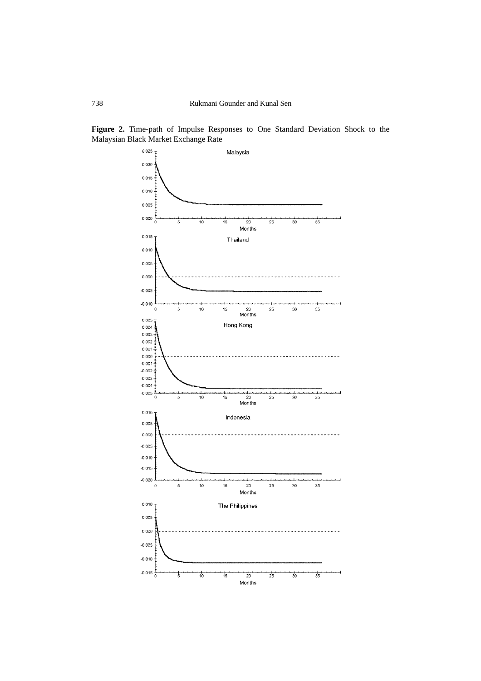

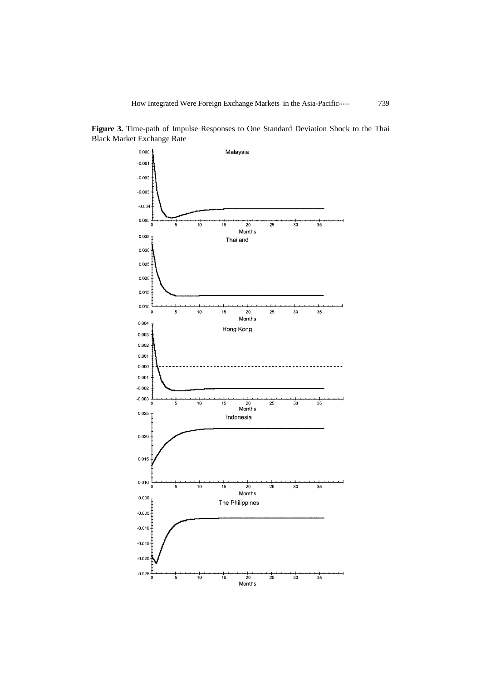

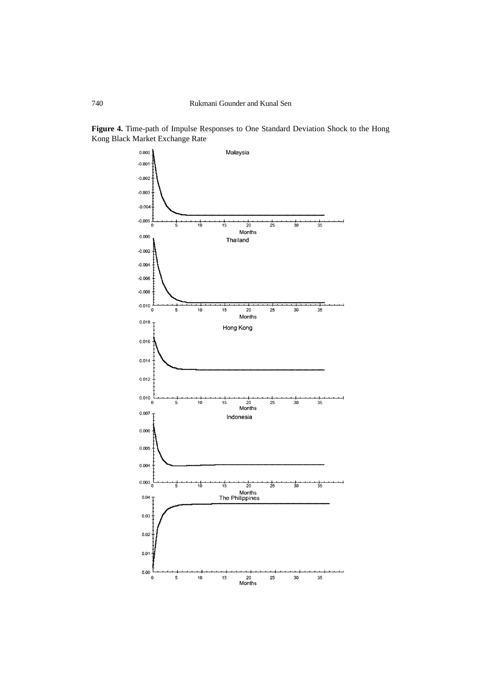

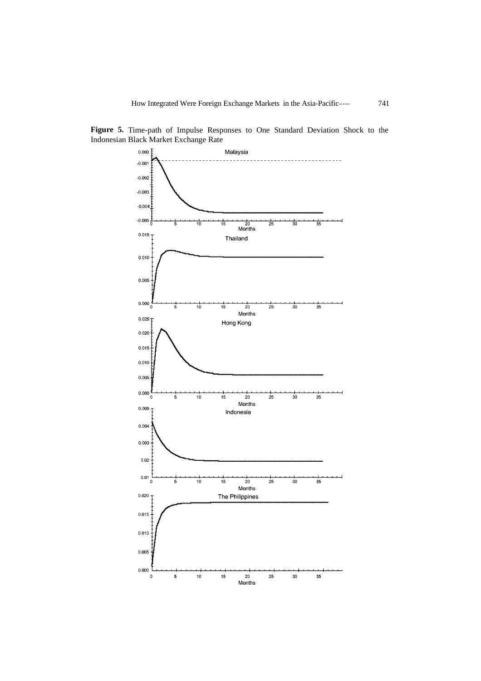

**Figure 5.** Time-path of Impulse Responses to One Standard Deviation Shock to the Indonesian Black Market Exchange Rate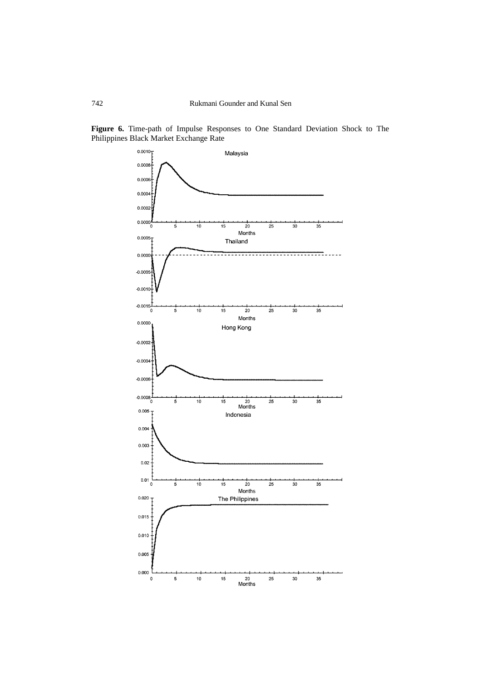

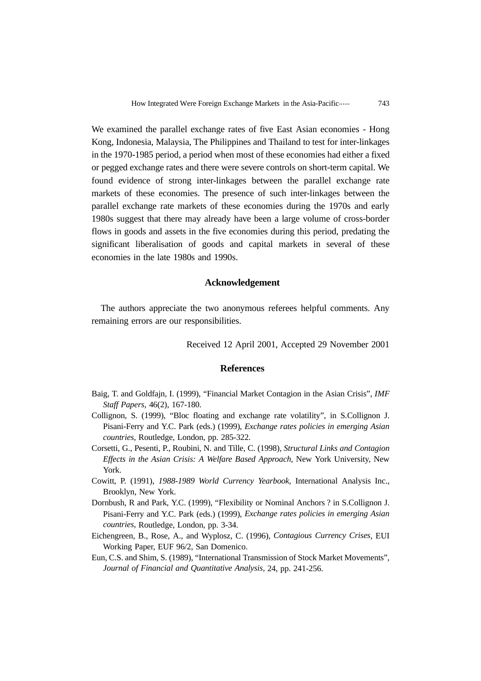We examined the parallel exchange rates of five East Asian economies - Hong Kong, Indonesia, Malaysia, The Philippines and Thailand to test for inter-linkages in the 1970-1985 period, a period when most of these economies had either a fixed or pegged exchange rates and there were severe controls on short-term capital. We found evidence of strong inter-linkages between the parallel exchange rate markets of these economies. The presence of such inter-linkages between the parallel exchange rate markets of these economies during the 1970s and early 1980s suggest that there may already have been a large volume of cross-border flows in goods and assets in the five economies during this period, predating the significant liberalisation of goods and capital markets in several of these economies in the late 1980s and 1990s.

# **Acknowledgement**

The authors appreciate the two anonymous referees helpful comments. Any remaining errors are our responsibilities.

Received 12 April 2001, Accepted 29 November 2001

## **References**

- Baig, T. and Goldfajn, I. (1999), "Financial Market Contagion in the Asian Crisis", *IMF Staff Papers*, 46(2), 167-180.
- Collignon, S. (1999), "Bloc floating and exchange rate volatility", in S.Collignon J. Pisani-Ferry and Y.C. Park (eds.) (1999), *Exchange rates policies in emerging Asian countries,* Routledge, London, pp. 285-322.
- Corsetti, G., Pesenti, P., Roubini, N. and Tille, C. (1998), *Structural Links and Contagion Effects in the Asian Crisis: A Welfare Based Approach*, New York University, New York.
- Cowitt, P. (1991), *1988-1989 World Currency Yearbook*, International Analysis Inc., Brooklyn, New York.
- Dornbush, R and Park, Y.C. (1999), "Flexibility or Nominal Anchors ? in S.Collignon J. Pisani-Ferry and Y.C. Park (eds.) (1999), *Exchange rates policies in emerging Asian countries,* Routledge, London, pp. 3-34.
- Eichengreen, B., Rose, A., and Wyplosz, C. (1996), *Contagious Currency Crises*, EUI Working Paper, EUF 96/2, San Domenico.
- Eun, C.S. and Shim, S. (1989), "International Transmission of Stock Market Movements", *Journal of Financial and Quantitative Analysis,* 24, pp. 241-256.